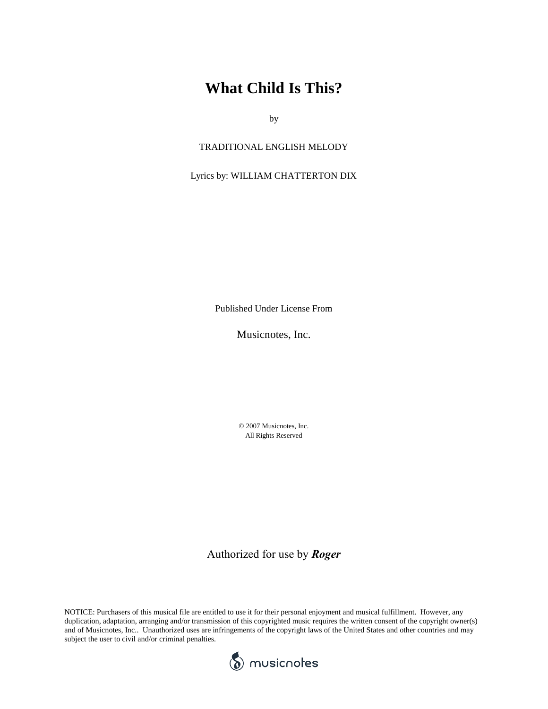## **What Child Is This?**

by

#### TRADITIONAL ENGLISH MELODY

#### Lyrics by: WILLIAM CHATTERTON DIX

Published Under License From

Musicnotes, Inc.

© 2007 Musicnotes, Inc. All Rights Reserved

### Authorized for use by *Roger*

NOTICE: Purchasers of this musical file are entitled to use it for their personal enjoyment and musical fulfillment. However, any duplication, adaptation, arranging and/or transmission of this copyrighted music requires the written consent of the copyright owner(s) and of Musicnotes, Inc.. Unauthorized uses are infringements of the copyright laws of the United States and other countries and may subject the user to civil and/or criminal penalties.

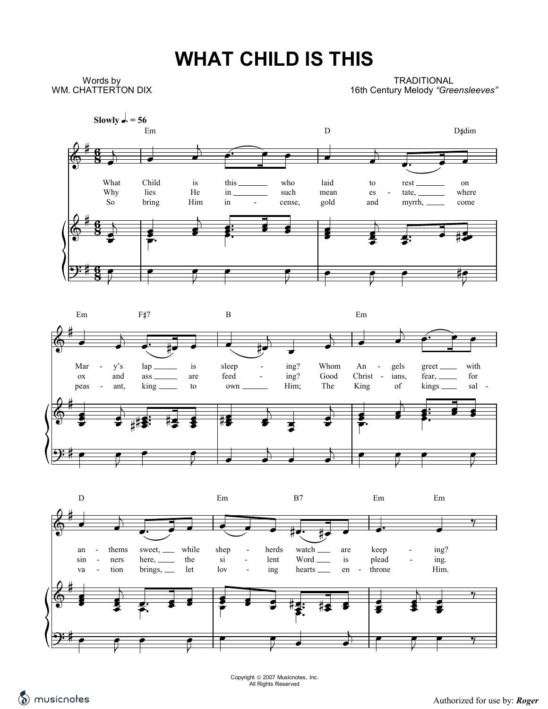# **WHAT CHILD IS THIS**

Words by WM. CHATTERTON DIX

**TRADITIONAL** 16th Century Melody "Greensleeves"